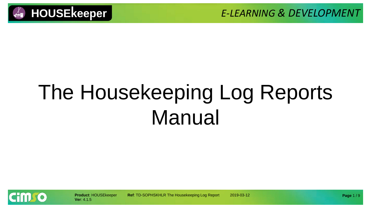



# The Housekeeping Log Reports Manual

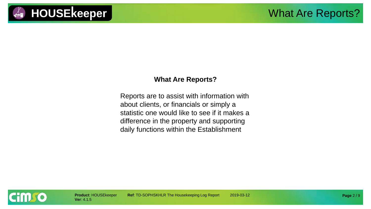

#### **What Are Reports?**

Reports are to assist with information with about clients, or financials or simply a statistic one would like to see if it makes a difference in the property and supporting daily functions within the Establishment

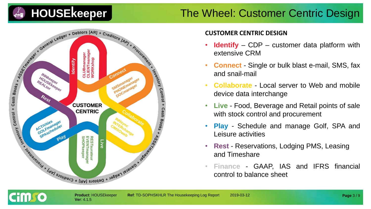### The Wheel: Customer Centric Design



#### **CUSTOMER CENTRIC DESIGN**

- **Identify** CDP customer data platform with extensive CRM
- **Connect** Single or bulk blast e-mail, SMS, fax and snail-mail
- **Collaborate** Local server to Web and mobile device data interchange
- **Live** Food, Beverage and Retail points of sale with stock control and procurement
- **Play** Schedule and manage Golf, SPA and Leisure activities
- **Rest** Reservations, Lodging PMS, Leasing and Timeshare
- **Finance** GAAP, IAS and IFRS financial control to balance sheet

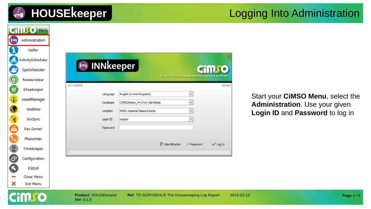|  |  | <b>HOUSEkeeper</b> |
|--|--|--------------------|
|  |  |                    |
|  |  |                    |

#### Logging Into Administration

|                      | <b>CillUSO Menu</b> |                                    |                                                         |                                                 |                 |                                   |          |
|----------------------|---------------------|------------------------------------|---------------------------------------------------------|-------------------------------------------------|-----------------|-----------------------------------|----------|
| $\vdash$             | Administration      |                                    |                                                         |                                                 |                 |                                   |          |
|                      | Golfer              |                                    |                                                         |                                                 |                 |                                   |          |
|                      | ActivityScheduler   |                                    |                                                         |                                                 |                 |                                   |          |
| S                    | SpaScheduler        | <b>INNkeeper</b><br>$\blacksquare$ |                                                         |                                                 | CHILLIO         |                                   |          |
| Ø                    | Restaurateur        |                                    |                                                         | Customer Centric Integrated Management Software |                 |                                   |          |
| ,                    | ShopKeeper          | V4.1.5b38443                       |                                                         |                                                 | d316fab         |                                   |          |
| Φ                    | AssetManager        | Language                           | English (United Kingdom)<br>CIMSODemo_V415 on dientdata | $\vee$<br>$\vee$                                |                 | Start your CiMSO Menu, select the |          |
| $\bullet$            | WebRes              | Database<br>Location               | MAIN Imperial Palace Rooms                              |                                                 |                 | Administration. Use your given    |          |
| $\mathbf{A}$         | InnSync             | Login ID                           | master                                                  |                                                 |                 | Login ID and Password to log in   |          |
| 鳳                    | Fax Server          | Password                           |                                                         |                                                 |                 |                                   |          |
|                      | Phoneman            |                                    |                                                         |                                                 |                 |                                   |          |
| 8                    | TimeKeeper          |                                    | d <sup>o</sup> Identification                           | Password                                        | <b>√</b> Log In |                                   |          |
| $\mathbf{C}^{\circ}$ | Configuration       |                                    |                                                         |                                                 |                 |                                   |          |
| ß                    | <b>EXEUP</b>        |                                    |                                                         |                                                 |                 |                                   |          |
|                      | Close Menu          |                                    |                                                         |                                                 |                 |                                   |          |
| X                    | <b>Exit Menu</b>    |                                    |                                                         |                                                 |                 |                                   |          |
|                      |                     | Product: HOUSEkeeper<br>Ver: 4.1.5 | Ref: TD-SOPHSKHLR The Housekeeping Log Report           |                                                 | 2019-03-12      |                                   | Page 4/9 |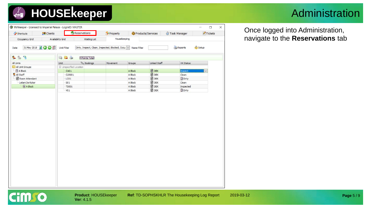### Administration

| Housekeeping<br>Occupancy Grid<br>Availability Grid<br>Waiting List<br>Reports<br>31 May 2018 2 3 3 Unit Filter<br>Setup<br>Dirty, Inspect, Clean, Inspected, Blocked, Occu v<br>Date<br>Name Filter<br>993<br>6<br>G<br>4 Points Total<br><sup>12</sup> 3 Bookings<br>Linked Staff<br>All Units<br>Unit<br>Movement<br>Groups<br><b>HK Status</b><br>All Unit Groups<br>El-Unspecified Location<br><b>DEK</b><br>4 A Block<br>Inspect<br>CA01<br>A Block<br>$\blacksquare$ DEK<br>All Staff<br>CLR001<br>A Block<br>Clean<br>$\blacksquare$ DEK<br>Room Attendant<br>2 Dirty<br>A Block<br>LC01<br><b>DEK</b><br>Leilani De Koker<br>Clean<br>S01<br>A Block<br>$\overline{a}$ DEK<br>$4$ A Block<br>A Block<br>Inspected<br><b>TS001</b><br><b>ODEK</b><br>2 Dirty<br>V01<br>A Block | Shortcuts | <b>Clients</b> | Reservations | Property | Products/Services | Task Manager | Tickets |
|----------------------------------------------------------------------------------------------------------------------------------------------------------------------------------------------------------------------------------------------------------------------------------------------------------------------------------------------------------------------------------------------------------------------------------------------------------------------------------------------------------------------------------------------------------------------------------------------------------------------------------------------------------------------------------------------------------------------------------------------------------------------------------------|-----------|----------------|--------------|----------|-------------------|--------------|---------|
|                                                                                                                                                                                                                                                                                                                                                                                                                                                                                                                                                                                                                                                                                                                                                                                        |           |                |              |          |                   |              |         |
|                                                                                                                                                                                                                                                                                                                                                                                                                                                                                                                                                                                                                                                                                                                                                                                        |           |                |              |          |                   |              |         |
|                                                                                                                                                                                                                                                                                                                                                                                                                                                                                                                                                                                                                                                                                                                                                                                        |           |                |              |          |                   |              |         |
|                                                                                                                                                                                                                                                                                                                                                                                                                                                                                                                                                                                                                                                                                                                                                                                        |           |                |              |          |                   |              |         |
|                                                                                                                                                                                                                                                                                                                                                                                                                                                                                                                                                                                                                                                                                                                                                                                        |           |                |              |          |                   |              |         |
|                                                                                                                                                                                                                                                                                                                                                                                                                                                                                                                                                                                                                                                                                                                                                                                        |           |                |              |          |                   |              |         |
|                                                                                                                                                                                                                                                                                                                                                                                                                                                                                                                                                                                                                                                                                                                                                                                        |           |                |              |          |                   |              |         |
|                                                                                                                                                                                                                                                                                                                                                                                                                                                                                                                                                                                                                                                                                                                                                                                        |           |                |              |          |                   |              |         |
|                                                                                                                                                                                                                                                                                                                                                                                                                                                                                                                                                                                                                                                                                                                                                                                        |           |                |              |          |                   |              |         |
|                                                                                                                                                                                                                                                                                                                                                                                                                                                                                                                                                                                                                                                                                                                                                                                        |           |                |              |          |                   |              |         |
|                                                                                                                                                                                                                                                                                                                                                                                                                                                                                                                                                                                                                                                                                                                                                                                        |           |                |              |          |                   |              |         |
|                                                                                                                                                                                                                                                                                                                                                                                                                                                                                                                                                                                                                                                                                                                                                                                        |           |                |              |          |                   |              |         |
|                                                                                                                                                                                                                                                                                                                                                                                                                                                                                                                                                                                                                                                                                                                                                                                        |           |                |              |          |                   |              |         |
|                                                                                                                                                                                                                                                                                                                                                                                                                                                                                                                                                                                                                                                                                                                                                                                        |           |                |              |          |                   |              |         |
|                                                                                                                                                                                                                                                                                                                                                                                                                                                                                                                                                                                                                                                                                                                                                                                        |           |                |              |          |                   |              |         |
|                                                                                                                                                                                                                                                                                                                                                                                                                                                                                                                                                                                                                                                                                                                                                                                        |           |                |              |          |                   |              |         |
|                                                                                                                                                                                                                                                                                                                                                                                                                                                                                                                                                                                                                                                                                                                                                                                        |           |                |              |          |                   |              |         |

Once logged into Administration, navigate to the **Reservations** tab

**Page** 5 / 9

**Cimso**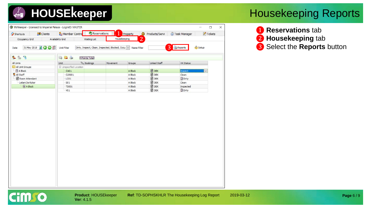|                                            |                     | G INNkeeper - Licensed to Imperial Palace - LoginID: MASTER | Reservations                         |                                                   | ۰              |                |                  | $\Box$<br>Tickets | $\times$ |
|--------------------------------------------|---------------------|-------------------------------------------------------------|--------------------------------------|---------------------------------------------------|----------------|----------------|------------------|-------------------|----------|
| Shortcuts                                  | <b>Clients</b>      | Member Contro                                               |                                      |                                                   | Property       | Products/Servi | Task Manager     |                   |          |
| Occupancy Grid                             |                     | Availability Grid                                           | Waiting List                         | Housekeeping                                      | $\overline{2}$ |                |                  |                   |          |
| Date                                       | 31 May 2018 2 0 0 1 | Unit Filter                                                 |                                      | Dirty, Inspect, Clean, Inspected, Blocked, Occu v | Name Filter    | 3              | Reports          | Setup             |          |
| $\mathbf{P}_{\mathbf{Q}}$<br><b>Q</b><br>L |                     | 65<br>G                                                     | 4 Points Total                       |                                                   |                |                |                  |                   |          |
| All Units                                  |                     | Unit                                                        | <sup>1</sup> 2 <sub>3</sub> Bookings | Movement                                          | Groups         | Linked Staff   | <b>HK Status</b> |                   |          |
| All Unit Groups                            |                     | El-Unspecified Location                                     |                                      |                                                   |                |                |                  |                   |          |
| $4$ A Block                                |                     | CA01                                                        |                                      |                                                   | A Block        | <b>DEK</b>     | Inspect          |                   |          |
| All Staff                                  |                     | CLR001                                                      |                                      |                                                   | A Block        | <b>DEK</b>     | Clean            |                   |          |
| Room Attendant                             |                     | LC01                                                        |                                      |                                                   | A Block        | <b>DEK</b>     | 2 Dirty          |                   |          |
| Leilani De Koker                           |                     | S01                                                         |                                      |                                                   | A Block        | <b>TO</b> DEK  | Clean            |                   |          |
| A Block                                    |                     | <b>TS001</b>                                                |                                      |                                                   | A Block        | <b>OD</b> DEK  | Inspected        |                   |          |
|                                            |                     | VO1                                                         |                                      |                                                   | A Block        | <b>DEK</b>     | 2 Dirty          |                   |          |
|                                            |                     |                                                             |                                      |                                                   |                |                |                  |                   |          |
|                                            |                     |                                                             |                                      |                                                   |                |                |                  |                   |          |

### Housekeeping Reports

❶ **Reservations** tab ❷ **Housekeeping** tab ❸ Select the **Reports** button

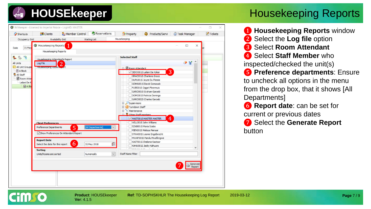

**Ver**: 4.1.5

### Housekeeping Reports

❶ **Housekeeping Reports** window ❷ Select the **Log file** option ❸ Select **Room Attendant 4** Select Staff Member who inspected/checked the unit(s) ❺ **Preference departments**: Ensure to uncheck all options in the menu from the drop box, that it shows [All Departments] ❻ **Report date**: can be set for

current or previous dates

❼ Select the **Generate Report** button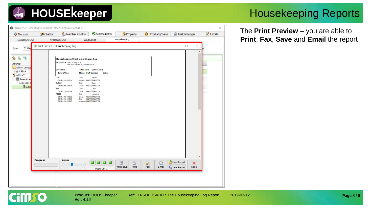### Housekeeping Reports

The **Print Preview** – you are able to **Print**, **Fax**, **Save** and **Email** the report

| Occupancy Grid<br>31 May<br>Date<br>$^{\circ 3}$<br>$\mathbb{R}$<br><u>e</u><br>All Units<br>All Unit Groups<br>4 A Block<br>All Staff<br>Room Atter<br>Leilani De K<br><b>A</b> Blo | Availability Grid<br><b>G</b> Print Preview - Housekeeping Log<br>Restrictions: Date: 31 May 2018<br>Unit Name<br>Date & Time<br>CA01<br>31 May 2018 15:24<br><b>CLR001</b><br>31 May 2018 15:24<br>\$01<br>31 May 2018 15:24 | Waiting List<br>Housekeeping Unit Status Change Log<br>Staff: RRDEKO001S', RRMAST001S'<br>Inital State Current State<br>Status Staff Member<br>Notes<br>Dirty<br>Inspect<br>Inspect MASTER MASTER<br>Clean<br>Dirty<br>Clean MASTER MASTER<br>Clean<br>Dirty | Housekeeping                   |                                       | $\times$<br>$\Box$<br>$\land$                |  |
|--------------------------------------------------------------------------------------------------------------------------------------------------------------------------------------|-------------------------------------------------------------------------------------------------------------------------------------------------------------------------------------------------------------------------------|--------------------------------------------------------------------------------------------------------------------------------------------------------------------------------------------------------------------------------------------------------------|--------------------------------|---------------------------------------|----------------------------------------------|--|
|                                                                                                                                                                                      |                                                                                                                                                                                                                               |                                                                                                                                                                                                                                                              |                                |                                       |                                              |  |
|                                                                                                                                                                                      |                                                                                                                                                                                                                               |                                                                                                                                                                                                                                                              |                                |                                       |                                              |  |
|                                                                                                                                                                                      | T 5001<br>31 May 2018 15:23<br>31 May 2018 15:23<br>31 May 2018 15:23                                                                                                                                                         | Clean MASTER MASTER<br>Dirty<br>Inspected<br>Clean MASTER MASTER<br><b>MASTER MASTER</b><br>Dirty<br>InspectedMSTER MASTER                                                                                                                                   |                                |                                       | $\checkmark$                                 |  |
| <b>Progress</b>                                                                                                                                                                      | Zoom<br>THE ROOM IN POSSIBLE ROOM IN                                                                                                                                                                                          | B<br>$\mathbf{D}$<br>Page 1 of 1                                                                                                                                                                                                                             | 3<br>E<br>Print Setup<br>Print | $\odot$<br><b>SP</b><br>Fax<br>E-mail | Load Report<br>×<br>lij Save Report<br>Close |  |